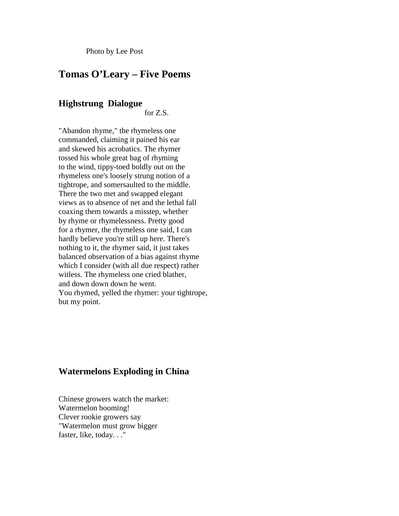Photo by Lee Post

# **Tomas O'Leary – Five Poems**

#### **Highstrung Dialogue**

for Z.S.

"Abandon rhyme," the rhymeless one commanded, claiming it pained his ear and skewed his acrobatics. The rhymer tossed his whole great bag of rhyming to the wind, tippy-toed boldly out on the rhymeless one's loosely strung notion of a tightrope, and somersaulted to the middle. There the two met and swapped elegant views as to absence of net and the lethal fall coaxing them towards a misstep, whether by rhyme or rhymelessness. Pretty good for a rhymer, the rhymeless one said, I can hardly believe you're still up here. There's nothing to it, the rhymer said, it just takes balanced observation of a bias against rhyme which I consider (with all due respect) rather witless. The rhymeless one cried blather, and down down down he went. You rhymed, yelled the rhymer: your tightrope, but my point.

## **Watermelons Exploding in China**

Chinese growers watch the market: Watermelon booming! Clever rookie growers say "Watermelon must grow bigger faster, like, today. . ."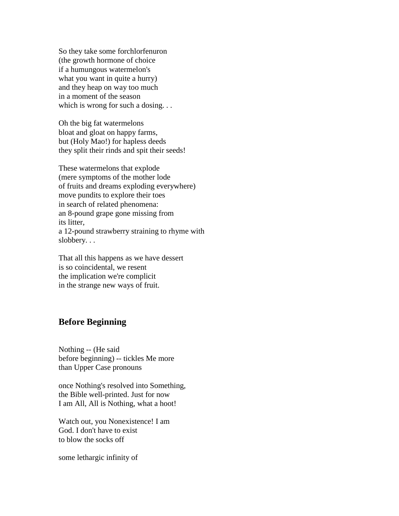So they take some forchlorfenuron (the growth hormone of choice if a humungous watermelon's what you want in quite a hurry) and they heap on way too much in a moment of the season which is wrong for such a dosing...

Oh the big fat watermelons bloat and gloat on happy farms, but (Holy Mao!) for hapless deeds they split their rinds and spit their seeds!

These watermelons that explode (mere symptoms of the mother lode of fruits and dreams exploding everywhere) move pundits to explore their toes in search of related phenomena: an 8-pound grape gone missing from its litter, a 12-pound strawberry straining to rhyme with slobbery. . .

That all this happens as we have dessert is so coincidental, we resent the implication we're complicit in the strange new ways of fruit.

## **Before Beginning**

Nothing -- (He said before beginning) -- tickles Me more than Upper Case pronouns

once Nothing's resolved into Something, the Bible well-printed. Just for now I am All, All is Nothing, what a hoot!

Watch out, you Nonexistence! I am God. I don't have to exist to blow the socks off

some lethargic infinity of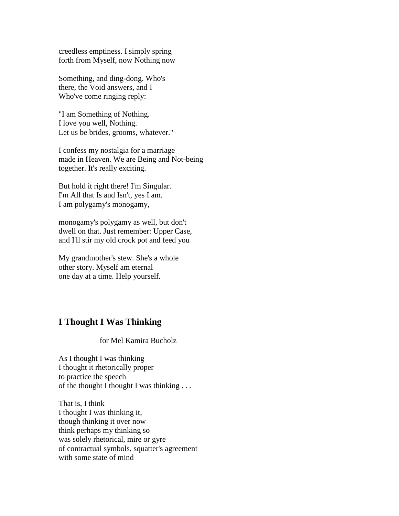creedless emptiness. I simply spring forth from Myself, now Nothing now

Something, and ding-dong. Who's there, the Void answers, and I Who've come ringing reply:

"I am Something of Nothing. I love you well, Nothing. Let us be brides, grooms, whatever."

I confess my nostalgia for a marriage made in Heaven. We are Being and Not-being together. It's really exciting.

But hold it right there! I'm Singular. I'm All that Is and Isn't, yes I am. I am polygamy's monogamy,

monogamy's polygamy as well, but don't dwell on that. Just remember: Upper Case, and I'll stir my old crock pot and feed you

My grandmother's stew. She's a whole other story. Myself am eternal one day at a time. Help yourself.

#### **I Thought I Was Thinking**

for Mel Kamira Bucholz

As I thought I was thinking I thought it rhetorically proper to practice the speech of the thought I thought I was thinking . . .

That is, I think I thought I was thinking it, though thinking it over now think perhaps my thinking so was solely rhetorical, mire or gyre of contractual symbols, squatter's agreement with some state of mind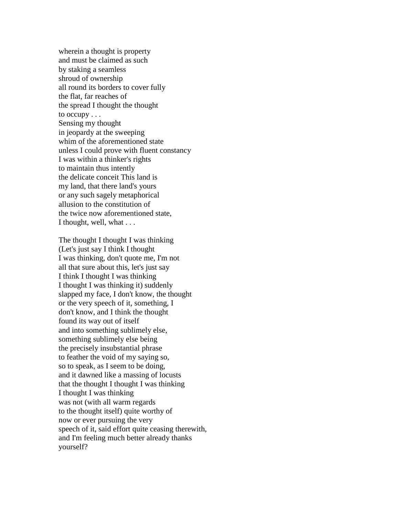wherein a thought is property and must be claimed as such by staking a seamless shroud of ownership all round its borders to cover fully the flat, far reaches of the spread I thought the thought to occupy . . . Sensing my thought in jeopardy at the sweeping whim of the aforementioned state unless I could prove with fluent constancy I was within a thinker's rights to maintain thus intently the delicate conceit This land is my land, that there land's yours or any such sagely metaphorical allusion to the constitution of the twice now aforementioned state, I thought, well, what . . .

The thought I thought I was thinking (Let's just say I think I thought I was thinking, don't quote me, I'm not all that sure about this, let's just say I think I thought I was thinking I thought I was thinking it) suddenly slapped my face, I don't know, the thought or the very speech of it, something, I don't know, and I think the thought found its way out of itself and into something sublimely else, something sublimely else being the precisely insubstantial phrase to feather the void of my saying so, so to speak, as I seem to be doing, and it dawned like a massing of locusts that the thought I thought I was thinking I thought I was thinking was not (with all warm regards to the thought itself) quite worthy of now or ever pursuing the very speech of it, said effort quite ceasing therewith, and I'm feeling much better already thanks yourself?